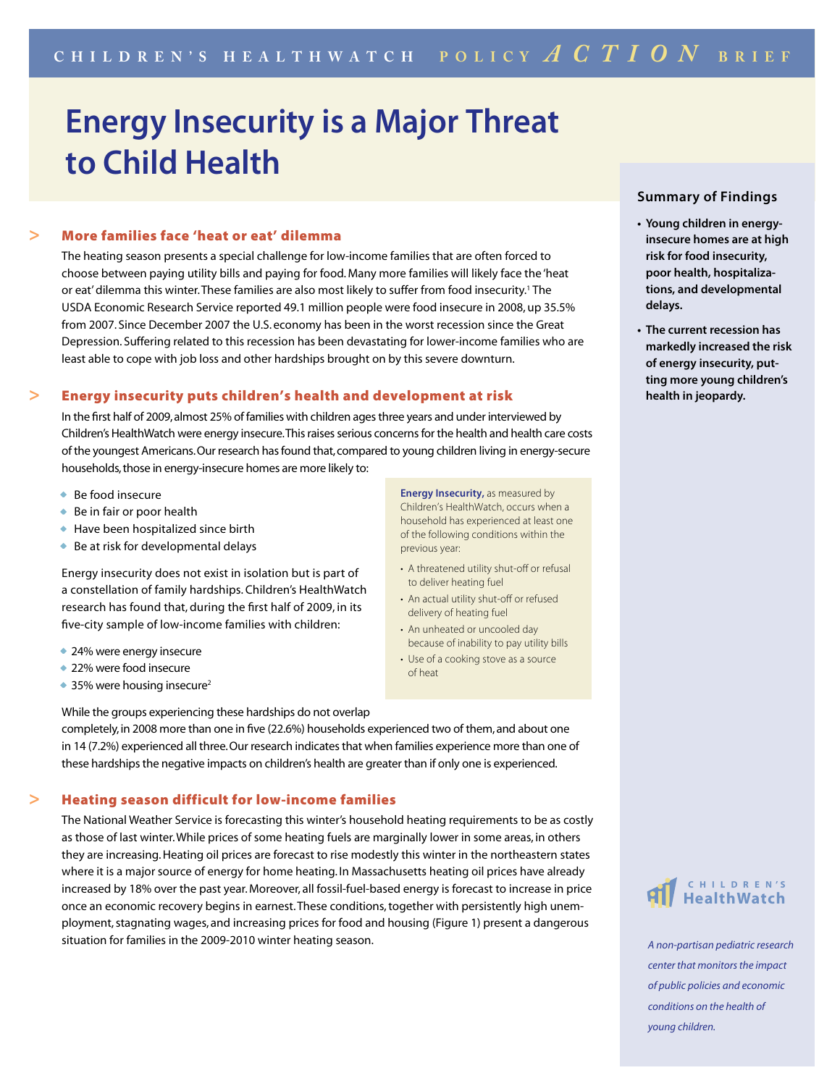# **Energy Insecurity is a Major Threat to Child Health**

## **>** More families face 'heat or eat' dilemma

 The heating season presents a special challenge for low-income families that are often forced to choose between paying utility bills and paying for food. Many more families will likely face the 'heat or eat' dilemma this winter. These families are also most likely to suffer from food insecurity.1 The USDA Economic Research Service reported 49.1 million people were food insecure in 2008, up 35.5% from 2007. Since December 2007 the U.S. economy has been in the worst recession since the Great Depression. Suffering related to this recession has been devastating for lower-income families who are least able to cope with job loss and other hardships brought on by this severe downturn.

#### **>** Energy insecurity puts children's health and development at risk

 In the first half of 2009, almost 25% of families with children ages three years and under interviewed by Children's HealthWatch were energy insecure. This raises serious concerns for the health and health care costs of the youngest Americans. Our research has found that, compared to young children living in energy-secure households, those in energy-insecure homes are more likely to:

- Be food insecure
- Be in fair or poor health
- Have been hospitalized since birth
- Be at risk for developmental delays

 Energy insecurity does not exist in isolation but is part of a constellation of family hardships. Children's HealthWatch research has found that, during the first half of 2009, in its five-city sample of low-income families with children:

- 24% were energy insecure
- 22% were food insecure
- $\bullet$  35% were housing insecure<sup>2</sup>

**Energy Insecurity,** as measured by Children's HealthWatch, occurs when a household has experienced at least one of the following conditions within the previous year:

- A threatened utility shut-off or refusal to deliver heating fuel
- An actual utility shut-off or refused delivery of heating fuel
- An unheated or uncooled day because of inability to pay utility bills
- Use of a cooking stove as a source of heat

completely, in 2008 more than one in five (22.6%) households experienced two of them, and about one in 14 (7.2%) experienced all three. Our research indicates that when families experience more than one of these hardships the negative impacts on children's health are greater than if only one is experienced.

## **>** Heating season difficult for low-income families

While the groups experiencing these hardships do not overlap

 The National Weather Service is forecasting this winter's household heating requirements to be as costly as those of last winter. While prices of some heating fuels are marginally lower in some areas, in others they are increasing. Heating oil prices are forecast to rise modestly this winter in the northeastern states where it is a major source of energy for home heating. In Massachusetts heating oil prices have already increased by 18% over the past year. Moreover, all fossil-fuel-based energy is forecast to increase in price once an economic recovery begins in earnest. These conditions, together with persistently high unemployment, stagnating wages, and increasing prices for food and housing (Figure 1) present a dangerous situation for families in the 2009-2010 winter heating season.

## **Summary of Findings**

- **Young children in energyinsecure homes are at high risk for food insecurity, poor health, hospitalizations, and developmental delays.**
- **The current recession has markedly increased the risk of energy insecurity, putting more young children's health in jeopardy.**



*A non-partisan pediatric research center that monitors the impact of public policies and economic conditions on the health of young children.*